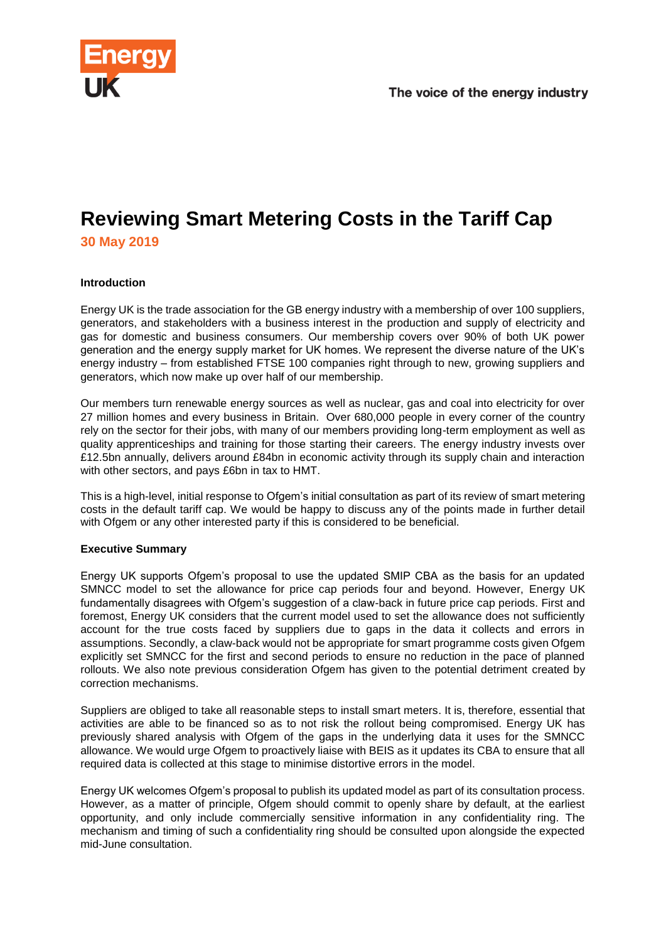

# **Reviewing Smart Metering Costs in the Tariff Cap 30 May 2019**

### **Introduction**

Energy UK is the trade association for the GB energy industry with a membership of over 100 suppliers, generators, and stakeholders with a business interest in the production and supply of electricity and gas for domestic and business consumers. Our membership covers over 90% of both UK power generation and the energy supply market for UK homes. We represent the diverse nature of the UK's energy industry – from established FTSE 100 companies right through to new, growing suppliers and generators, which now make up over half of our membership.

Our members turn renewable energy sources as well as nuclear, gas and coal into electricity for over 27 million homes and every business in Britain. Over 680,000 people in every corner of the country rely on the sector for their jobs, with many of our members providing long-term employment as well as quality apprenticeships and training for those starting their careers. The energy industry invests over £12.5bn annually, delivers around £84bn in economic activity through its supply chain and interaction with other sectors, and pays £6bn in tax to HMT.

This is a high-level, initial response to Ofgem's initial consultation as part of its review of smart metering costs in the default tariff cap. We would be happy to discuss any of the points made in further detail with Ofgem or any other interested party if this is considered to be beneficial.

#### **Executive Summary**

Energy UK supports Ofgem's proposal to use the updated SMIP CBA as the basis for an updated SMNCC model to set the allowance for price cap periods four and beyond. However, Energy UK fundamentally disagrees with Ofgem's suggestion of a claw-back in future price cap periods. First and foremost, Energy UK considers that the current model used to set the allowance does not sufficiently account for the true costs faced by suppliers due to gaps in the data it collects and errors in assumptions. Secondly, a claw-back would not be appropriate for smart programme costs given Ofgem explicitly set SMNCC for the first and second periods to ensure no reduction in the pace of planned rollouts. We also note previous consideration Ofgem has given to the potential detriment created by correction mechanisms.

Suppliers are obliged to take all reasonable steps to install smart meters. It is, therefore, essential that activities are able to be financed so as to not risk the rollout being compromised. Energy UK has previously shared analysis with Ofgem of the gaps in the underlying data it uses for the SMNCC allowance. We would urge Ofgem to proactively liaise with BEIS as it updates its CBA to ensure that all required data is collected at this stage to minimise distortive errors in the model.

Energy UK welcomes Ofgem's proposal to publish its updated model as part of its consultation process. However, as a matter of principle, Ofgem should commit to openly share by default, at the earliest opportunity, and only include commercially sensitive information in any confidentiality ring. The mechanism and timing of such a confidentiality ring should be consulted upon alongside the expected mid-June consultation.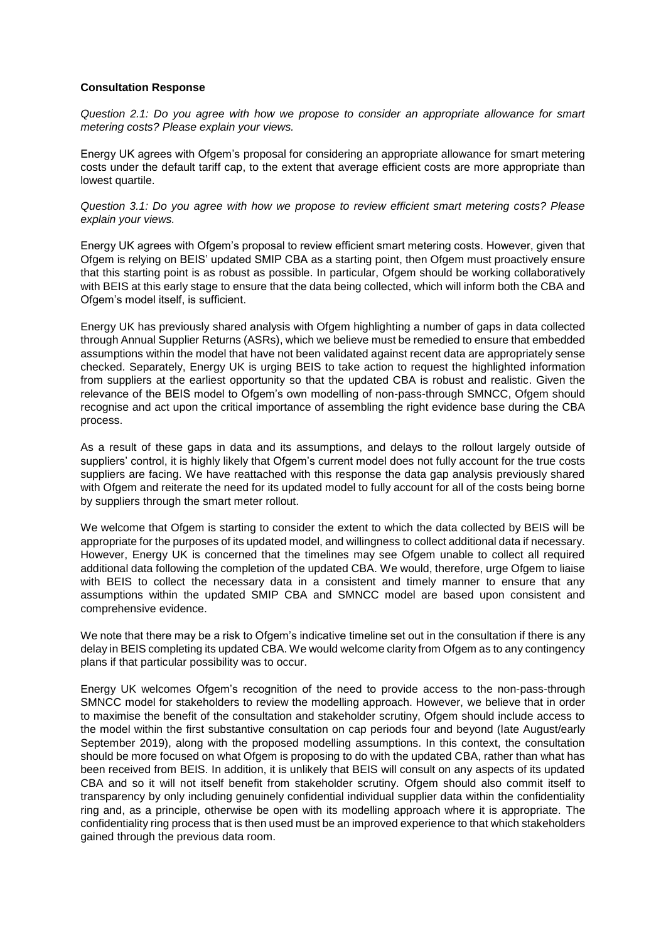#### **Consultation Response**

*Question 2.1: Do you agree with how we propose to consider an appropriate allowance for smart metering costs? Please explain your views.*

Energy UK agrees with Ofgem's proposal for considering an appropriate allowance for smart metering costs under the default tariff cap, to the extent that average efficient costs are more appropriate than lowest quartile.

*Question 3.1: Do you agree with how we propose to review efficient smart metering costs? Please explain your views.*

Energy UK agrees with Ofgem's proposal to review efficient smart metering costs. However, given that Ofgem is relying on BEIS' updated SMIP CBA as a starting point, then Ofgem must proactively ensure that this starting point is as robust as possible. In particular, Ofgem should be working collaboratively with BEIS at this early stage to ensure that the data being collected, which will inform both the CBA and Ofgem's model itself, is sufficient.

Energy UK has previously shared analysis with Ofgem highlighting a number of gaps in data collected through Annual Supplier Returns (ASRs), which we believe must be remedied to ensure that embedded assumptions within the model that have not been validated against recent data are appropriately sense checked. Separately, Energy UK is urging BEIS to take action to request the highlighted information from suppliers at the earliest opportunity so that the updated CBA is robust and realistic. Given the relevance of the BEIS model to Ofgem's own modelling of non-pass-through SMNCC, Ofgem should recognise and act upon the critical importance of assembling the right evidence base during the CBA process.

As a result of these gaps in data and its assumptions, and delays to the rollout largely outside of suppliers' control, it is highly likely that Ofgem's current model does not fully account for the true costs suppliers are facing. We have reattached with this response the data gap analysis previously shared with Ofgem and reiterate the need for its updated model to fully account for all of the costs being borne by suppliers through the smart meter rollout.

We welcome that Ofgem is starting to consider the extent to which the data collected by BEIS will be appropriate for the purposes of its updated model, and willingness to collect additional data if necessary. However, Energy UK is concerned that the timelines may see Ofgem unable to collect all required additional data following the completion of the updated CBA. We would, therefore, urge Ofgem to liaise with BEIS to collect the necessary data in a consistent and timely manner to ensure that any assumptions within the updated SMIP CBA and SMNCC model are based upon consistent and comprehensive evidence.

We note that there may be a risk to Ofgem's indicative timeline set out in the consultation if there is any delay in BEIS completing its updated CBA. We would welcome clarity from Ofgem as to any contingency plans if that particular possibility was to occur.

Energy UK welcomes Ofgem's recognition of the need to provide access to the non-pass-through SMNCC model for stakeholders to review the modelling approach. However, we believe that in order to maximise the benefit of the consultation and stakeholder scrutiny, Ofgem should include access to the model within the first substantive consultation on cap periods four and beyond (late August/early September 2019), along with the proposed modelling assumptions. In this context, the consultation should be more focused on what Ofgem is proposing to do with the updated CBA, rather than what has been received from BEIS. In addition, it is unlikely that BEIS will consult on any aspects of its updated CBA and so it will not itself benefit from stakeholder scrutiny. Ofgem should also commit itself to transparency by only including genuinely confidential individual supplier data within the confidentiality ring and, as a principle, otherwise be open with its modelling approach where it is appropriate. The confidentiality ring process that is then used must be an improved experience to that which stakeholders gained through the previous data room.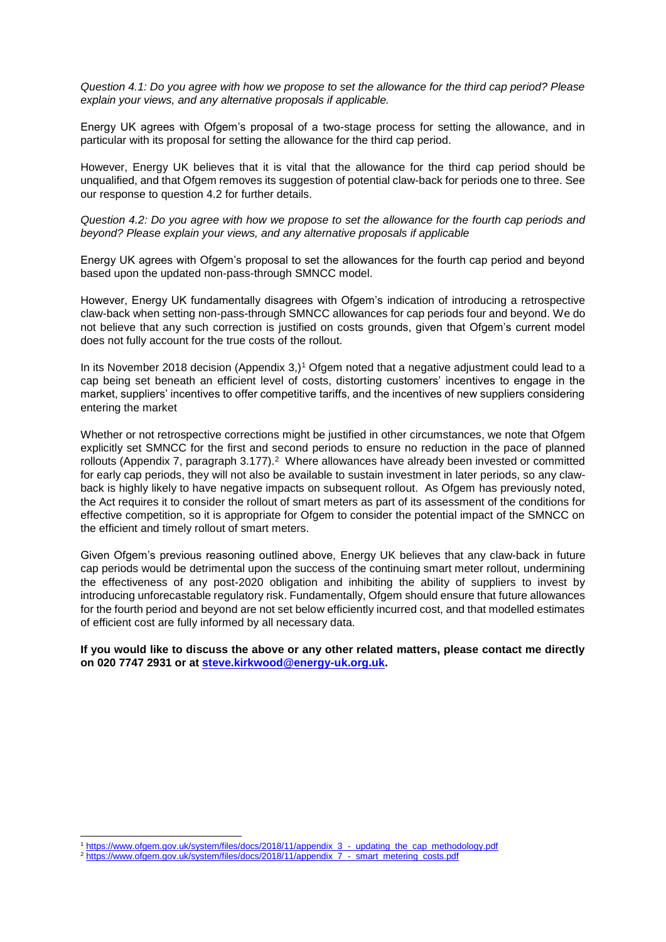*Question 4.1: Do you agree with how we propose to set the allowance for the third cap period? Please explain your views, and any alternative proposals if applicable.*

Energy UK agrees with Ofgem's proposal of a two-stage process for setting the allowance, and in particular with its proposal for setting the allowance for the third cap period.

However, Energy UK believes that it is vital that the allowance for the third cap period should be unqualified, and that Ofgem removes its suggestion of potential claw-back for periods one to three. See our response to question 4.2 for further details.

#### *Question 4.2: Do you agree with how we propose to set the allowance for the fourth cap periods and beyond? Please explain your views, and any alternative proposals if applicable*

Energy UK agrees with Ofgem's proposal to set the allowances for the fourth cap period and beyond based upon the updated non-pass-through SMNCC model.

However, Energy UK fundamentally disagrees with Ofgem's indication of introducing a retrospective claw-back when setting non-pass-through SMNCC allowances for cap periods four and beyond. We do not believe that any such correction is justified on costs grounds, given that Ofgem's current model does not fully account for the true costs of the rollout.

In its November 2018 decision (Appendix  $3$ ,)<sup>1</sup> Ofgem noted that a negative adjustment could lead to a cap being set beneath an efficient level of costs, distorting customers' incentives to engage in the market, suppliers' incentives to offer competitive tariffs, and the incentives of new suppliers considering entering the market

Whether or not retrospective corrections might be justified in other circumstances, we note that Ofgem explicitly set SMNCC for the first and second periods to ensure no reduction in the pace of planned rollouts (Appendix 7, paragraph 3.177).<sup>2</sup> Where allowances have already been invested or committed for early cap periods, they will not also be available to sustain investment in later periods, so any clawback is highly likely to have negative impacts on subsequent rollout. As Ofgem has previously noted, the Act requires it to consider the rollout of smart meters as part of its assessment of the conditions for effective competition, so it is appropriate for Ofgem to consider the potential impact of the SMNCC on the efficient and timely rollout of smart meters.

Given Ofgem's previous reasoning outlined above, Energy UK believes that any claw-back in future cap periods would be detrimental upon the success of the continuing smart meter rollout, undermining the effectiveness of any post-2020 obligation and inhibiting the ability of suppliers to invest by introducing unforecastable regulatory risk. Fundamentally, Ofgem should ensure that future allowances for the fourth period and beyond are not set below efficiently incurred cost, and that modelled estimates of efficient cost are fully informed by all necessary data.

**If you would like to discuss the above or any other related matters, please contact me directly on 020 7747 2931 or at [steve.kirkwood@energy-uk.org.uk.](mailto:steve.kirkwood@energy-uk.org.uk)** 

-

<sup>1</sup> [https://www.ofgem.gov.uk/system/files/docs/2018/11/appendix\\_3\\_-\\_updating\\_the\\_cap\\_methodology.pdf](https://www.ofgem.gov.uk/system/files/docs/2018/11/appendix_3_-_updating_the_cap_methodology.pdf)

<sup>2</sup> [https://www.ofgem.gov.uk/system/files/docs/2018/11/appendix\\_7\\_-\\_smart\\_metering\\_costs.pdf](https://www.ofgem.gov.uk/system/files/docs/2018/11/appendix_7_-_smart_metering_costs.pdf)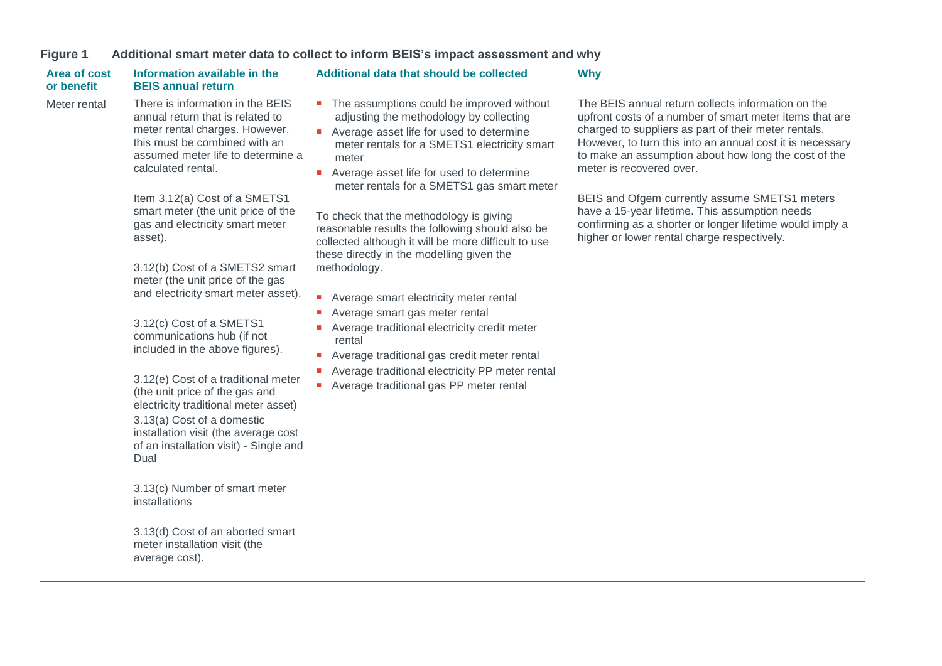| <b>Area of cost</b><br>or benefit                                                                                                                                                                                                                                                                                                                                                                                                                                                                                                                                                                    | Information available in the<br><b>BEIS annual return</b>                                                                                                                                          | Additional data that should be collected                                                                                                                                                                                                                                                | <b>Why</b>                                                                                                                                                                                                                                                                                                             |
|------------------------------------------------------------------------------------------------------------------------------------------------------------------------------------------------------------------------------------------------------------------------------------------------------------------------------------------------------------------------------------------------------------------------------------------------------------------------------------------------------------------------------------------------------------------------------------------------------|----------------------------------------------------------------------------------------------------------------------------------------------------------------------------------------------------|-----------------------------------------------------------------------------------------------------------------------------------------------------------------------------------------------------------------------------------------------------------------------------------------|------------------------------------------------------------------------------------------------------------------------------------------------------------------------------------------------------------------------------------------------------------------------------------------------------------------------|
| Meter rental                                                                                                                                                                                                                                                                                                                                                                                                                                                                                                                                                                                         | There is information in the BEIS<br>annual return that is related to<br>meter rental charges. However,<br>this must be combined with an<br>assumed meter life to determine a<br>calculated rental. | • The assumptions could be improved without<br>adjusting the methodology by collecting<br>• Average asset life for used to determine<br>meter rentals for a SMETS1 electricity smart<br>meter<br>Average asset life for used to determine<br>meter rentals for a SMETS1 gas smart meter | The BEIS annual return collects information on the<br>upfront costs of a number of smart meter items that are<br>charged to suppliers as part of their meter rentals.<br>However, to turn this into an annual cost it is necessary<br>to make an assumption about how long the cost of the<br>meter is recovered over. |
|                                                                                                                                                                                                                                                                                                                                                                                                                                                                                                                                                                                                      | Item 3.12(a) Cost of a SMETS1<br>smart meter (the unit price of the<br>gas and electricity smart meter<br>asset).                                                                                  | To check that the methodology is giving<br>reasonable results the following should also be<br>collected although it will be more difficult to use<br>these directly in the modelling given the                                                                                          | BEIS and Ofgem currently assume SMETS1 meters<br>have a 15-year lifetime. This assumption needs<br>confirming as a shorter or longer lifetime would imply a<br>higher or lower rental charge respectively.                                                                                                             |
|                                                                                                                                                                                                                                                                                                                                                                                                                                                                                                                                                                                                      | 3.12(b) Cost of a SMETS2 smart<br>meter (the unit price of the gas<br>and electricity smart meter asset).                                                                                          | methodology.<br>$\mathcal{L}_{\mathcal{A}}$<br>Average smart electricity meter rental<br>Average smart gas meter rental                                                                                                                                                                 |                                                                                                                                                                                                                                                                                                                        |
| 3.12(c) Cost of a SMETS1<br>Average traditional electricity credit meter<br>$\mathcal{L}_{\rm{max}}$<br>communications hub (if not<br>rental<br>included in the above figures).<br>Average traditional gas credit meter rental<br>$\mathcal{L}_{\mathcal{A}}$<br>Average traditional electricity PP meter rental<br>3.12(e) Cost of a traditional meter<br>Average traditional gas PP meter rental<br>(the unit price of the gas and<br>electricity traditional meter asset)<br>3.13(a) Cost of a domestic<br>installation visit (the average cost<br>of an installation visit) - Single and<br>Dual |                                                                                                                                                                                                    |                                                                                                                                                                                                                                                                                         |                                                                                                                                                                                                                                                                                                                        |
|                                                                                                                                                                                                                                                                                                                                                                                                                                                                                                                                                                                                      |                                                                                                                                                                                                    |                                                                                                                                                                                                                                                                                         |                                                                                                                                                                                                                                                                                                                        |
|                                                                                                                                                                                                                                                                                                                                                                                                                                                                                                                                                                                                      | 3.13(c) Number of smart meter<br>installations                                                                                                                                                     |                                                                                                                                                                                                                                                                                         |                                                                                                                                                                                                                                                                                                                        |
|                                                                                                                                                                                                                                                                                                                                                                                                                                                                                                                                                                                                      | 3.13(d) Cost of an aborted smart<br>meter installation visit (the<br>average cost).                                                                                                                |                                                                                                                                                                                                                                                                                         |                                                                                                                                                                                                                                                                                                                        |

# **Figure 1 Additional smart meter data to collect to inform BEIS's impact assessment and why**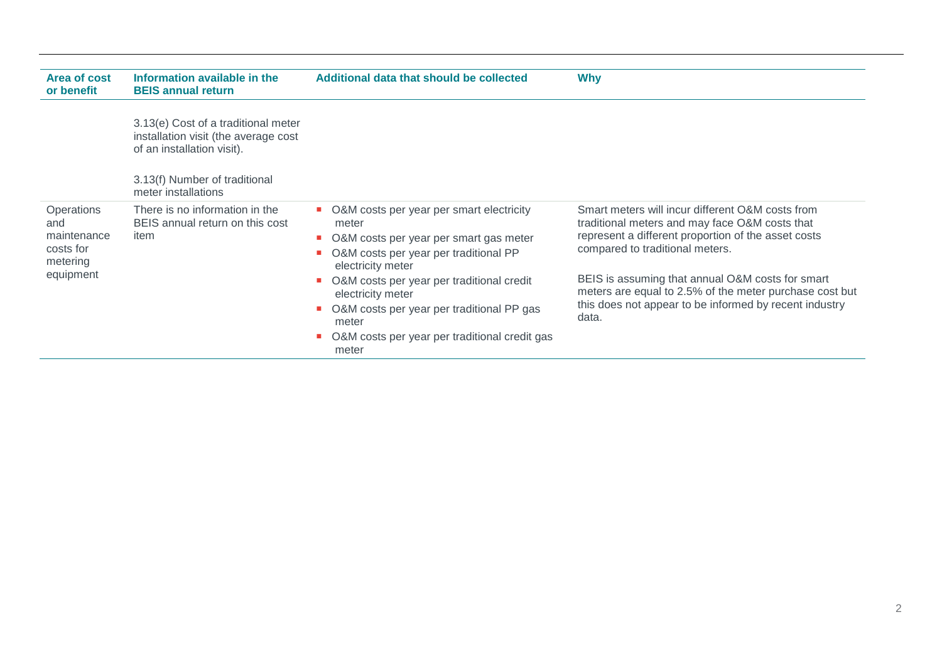| Area of cost<br>or benefit                                             | Information available in the<br><b>BEIS annual return</b>                                                 | Additional data that should be collected                                                                                                                                                                                        | <b>Why</b>                                                                                                                                                                                                                                                                                                  |
|------------------------------------------------------------------------|-----------------------------------------------------------------------------------------------------------|---------------------------------------------------------------------------------------------------------------------------------------------------------------------------------------------------------------------------------|-------------------------------------------------------------------------------------------------------------------------------------------------------------------------------------------------------------------------------------------------------------------------------------------------------------|
|                                                                        | 3.13(e) Cost of a traditional meter<br>installation visit (the average cost<br>of an installation visit). |                                                                                                                                                                                                                                 |                                                                                                                                                                                                                                                                                                             |
|                                                                        | 3.13(f) Number of traditional<br>meter installations                                                      |                                                                                                                                                                                                                                 |                                                                                                                                                                                                                                                                                                             |
| Operations<br>and<br>maintenance<br>costs for<br>metering<br>equipment | There is no information in the<br>BEIS annual return on this cost<br>item                                 | • O&M costs per year per smart electricity<br>meter<br>• O&M costs per year per smart gas meter<br>O&M costs per year per traditional PP<br>electricity meter<br>O&M costs per year per traditional credit<br>electricity meter | Smart meters will incur different O&M costs from<br>traditional meters and may face O&M costs that<br>represent a different proportion of the asset costs<br>compared to traditional meters.<br>BEIS is assuming that annual O&M costs for smart<br>meters are equal to 2.5% of the meter purchase cost but |
|                                                                        |                                                                                                           | O&M costs per year per traditional PP gas<br>meter<br>O&M costs per year per traditional credit gas<br>meter                                                                                                                    | this does not appear to be informed by recent industry<br>data.                                                                                                                                                                                                                                             |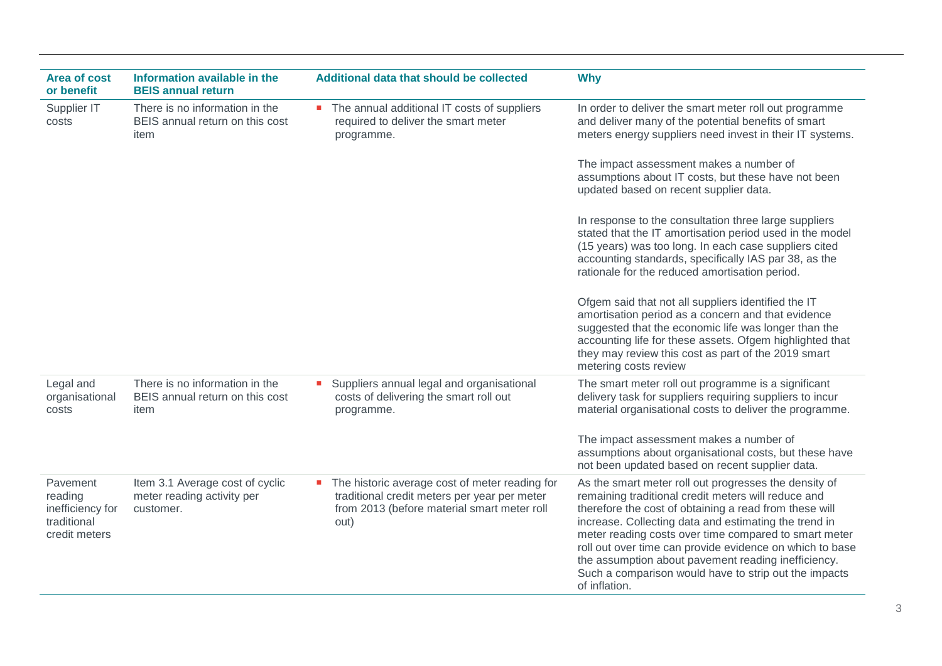| <b>Area of cost</b><br>or benefit                                       | Information available in the<br><b>BEIS annual return</b>                  | Additional data that should be collected                                                                                                                | <b>Why</b>                                                                                                                                                                                                                                                                                                                                                                                                                                                                            |
|-------------------------------------------------------------------------|----------------------------------------------------------------------------|---------------------------------------------------------------------------------------------------------------------------------------------------------|---------------------------------------------------------------------------------------------------------------------------------------------------------------------------------------------------------------------------------------------------------------------------------------------------------------------------------------------------------------------------------------------------------------------------------------------------------------------------------------|
| Supplier IT<br>costs                                                    | There is no information in the<br>BEIS annual return on this cost<br>item  | • The annual additional IT costs of suppliers<br>required to deliver the smart meter<br>programme.                                                      | In order to deliver the smart meter roll out programme<br>and deliver many of the potential benefits of smart<br>meters energy suppliers need invest in their IT systems.                                                                                                                                                                                                                                                                                                             |
|                                                                         |                                                                            |                                                                                                                                                         | The impact assessment makes a number of<br>assumptions about IT costs, but these have not been<br>updated based on recent supplier data.                                                                                                                                                                                                                                                                                                                                              |
|                                                                         |                                                                            |                                                                                                                                                         | In response to the consultation three large suppliers<br>stated that the IT amortisation period used in the model<br>(15 years) was too long. In each case suppliers cited<br>accounting standards, specifically IAS par 38, as the<br>rationale for the reduced amortisation period.                                                                                                                                                                                                 |
|                                                                         |                                                                            |                                                                                                                                                         | Ofgem said that not all suppliers identified the IT<br>amortisation period as a concern and that evidence<br>suggested that the economic life was longer than the<br>accounting life for these assets. Ofgem highlighted that<br>they may review this cost as part of the 2019 smart<br>metering costs review                                                                                                                                                                         |
| Legal and<br>organisational<br>costs                                    | There is no information in the<br>BEIS annual return on this cost<br>item  | Suppliers annual legal and organisational<br>costs of delivering the smart roll out<br>programme.                                                       | The smart meter roll out programme is a significant<br>delivery task for suppliers requiring suppliers to incur<br>material organisational costs to deliver the programme.                                                                                                                                                                                                                                                                                                            |
|                                                                         |                                                                            |                                                                                                                                                         | The impact assessment makes a number of<br>assumptions about organisational costs, but these have<br>not been updated based on recent supplier data.                                                                                                                                                                                                                                                                                                                                  |
| Pavement<br>reading<br>inefficiency for<br>traditional<br>credit meters | Item 3.1 Average cost of cyclic<br>meter reading activity per<br>customer. | • The historic average cost of meter reading for<br>traditional credit meters per year per meter<br>from 2013 (before material smart meter roll<br>out) | As the smart meter roll out progresses the density of<br>remaining traditional credit meters will reduce and<br>therefore the cost of obtaining a read from these will<br>increase. Collecting data and estimating the trend in<br>meter reading costs over time compared to smart meter<br>roll out over time can provide evidence on which to base<br>the assumption about pavement reading inefficiency.<br>Such a comparison would have to strip out the impacts<br>of inflation. |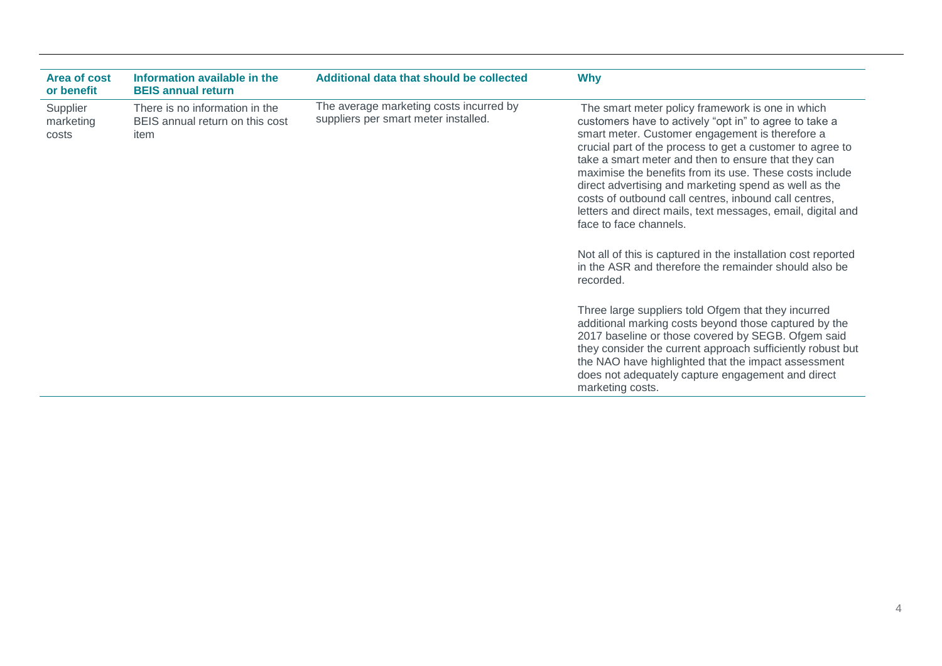| Area of cost<br>or benefit     | Information available in the<br><b>BEIS annual return</b>                 | Additional data that should be collected                                        | <b>Why</b>                                                                                                                                                                                                                                                                                                                                                                                                                                                                                                                                                                                                                                                                                                                                                                                                                                                                                                                         |
|--------------------------------|---------------------------------------------------------------------------|---------------------------------------------------------------------------------|------------------------------------------------------------------------------------------------------------------------------------------------------------------------------------------------------------------------------------------------------------------------------------------------------------------------------------------------------------------------------------------------------------------------------------------------------------------------------------------------------------------------------------------------------------------------------------------------------------------------------------------------------------------------------------------------------------------------------------------------------------------------------------------------------------------------------------------------------------------------------------------------------------------------------------|
| Supplier<br>marketing<br>costs | There is no information in the<br>BEIS annual return on this cost<br>item | The average marketing costs incurred by<br>suppliers per smart meter installed. | The smart meter policy framework is one in which<br>customers have to actively "opt in" to agree to take a<br>smart meter. Customer engagement is therefore a<br>crucial part of the process to get a customer to agree to<br>take a smart meter and then to ensure that they can<br>maximise the benefits from its use. These costs include<br>direct advertising and marketing spend as well as the<br>costs of outbound call centres, inbound call centres,<br>letters and direct mails, text messages, email, digital and<br>face to face channels.<br>Not all of this is captured in the installation cost reported<br>in the ASR and therefore the remainder should also be<br>recorded.<br>Three large suppliers told Ofgem that they incurred<br>additional marking costs beyond those captured by the<br>2017 baseline or those covered by SEGB. Ofgem said<br>they consider the current approach sufficiently robust but |
|                                |                                                                           |                                                                                 | the NAO have highlighted that the impact assessment<br>does not adequately capture engagement and direct<br>marketing costs.                                                                                                                                                                                                                                                                                                                                                                                                                                                                                                                                                                                                                                                                                                                                                                                                       |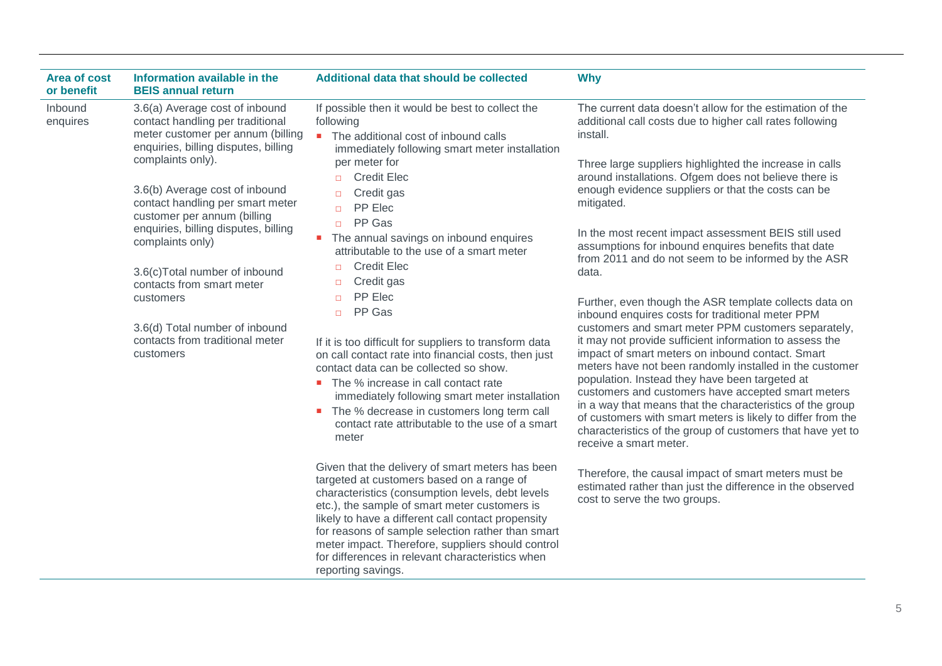| <b>Area of cost</b><br>or benefit | Information available in the<br><b>BEIS annual return</b>                                                                                                                                                                                                                                                                                                                                                                                                                                          | Additional data that should be collected                                                                                                                                                                                                                                                                                                                                                                                                                                                                                                                                                                                                                                                                                                                                                                                                                                                                                                                                                                                                                                                                                                                                                                                                                                                                         | <b>Why</b>                                                                                                                                                                                                                                                                                                                                                                                                                                                                                                                                                                                                                                                                                                                                                                                                                                                                                                                                                                                                                                                                                                                                                                                                                                                                                                                               |
|-----------------------------------|----------------------------------------------------------------------------------------------------------------------------------------------------------------------------------------------------------------------------------------------------------------------------------------------------------------------------------------------------------------------------------------------------------------------------------------------------------------------------------------------------|------------------------------------------------------------------------------------------------------------------------------------------------------------------------------------------------------------------------------------------------------------------------------------------------------------------------------------------------------------------------------------------------------------------------------------------------------------------------------------------------------------------------------------------------------------------------------------------------------------------------------------------------------------------------------------------------------------------------------------------------------------------------------------------------------------------------------------------------------------------------------------------------------------------------------------------------------------------------------------------------------------------------------------------------------------------------------------------------------------------------------------------------------------------------------------------------------------------------------------------------------------------------------------------------------------------|------------------------------------------------------------------------------------------------------------------------------------------------------------------------------------------------------------------------------------------------------------------------------------------------------------------------------------------------------------------------------------------------------------------------------------------------------------------------------------------------------------------------------------------------------------------------------------------------------------------------------------------------------------------------------------------------------------------------------------------------------------------------------------------------------------------------------------------------------------------------------------------------------------------------------------------------------------------------------------------------------------------------------------------------------------------------------------------------------------------------------------------------------------------------------------------------------------------------------------------------------------------------------------------------------------------------------------------|
| Inbound<br>enquires               | 3.6(a) Average cost of inbound<br>contact handling per traditional<br>meter customer per annum (billing<br>enquiries, billing disputes, billing<br>complaints only).<br>3.6(b) Average cost of inbound<br>contact handling per smart meter<br>customer per annum (billing<br>enquiries, billing disputes, billing<br>complaints only)<br>3.6(c)Total number of inbound<br>contacts from smart meter<br>customers<br>3.6(d) Total number of inbound<br>contacts from traditional meter<br>customers | If possible then it would be best to collect the<br>following<br>• The additional cost of inbound calls<br>immediately following smart meter installation<br>per meter for<br><b>Credit Elec</b><br>$\Box$<br>Credit gas<br>$\Box$<br>PP Elec<br>$\Box$<br>PP Gas<br>$\Box$<br>The annual savings on inbound enquires<br>$\mathcal{L}_{\mathcal{A}}$<br>attributable to the use of a smart meter<br><b>Credit Elec</b><br>n.<br>Credit gas<br>$\Box$<br>PP Elec<br>$\Box$<br>PP Gas<br>$\Box$<br>If it is too difficult for suppliers to transform data<br>on call contact rate into financial costs, then just<br>contact data can be collected so show.<br>• The % increase in call contact rate<br>immediately following smart meter installation<br>• The % decrease in customers long term call<br>contact rate attributable to the use of a smart<br>meter<br>Given that the delivery of smart meters has been<br>targeted at customers based on a range of<br>characteristics (consumption levels, debt levels<br>etc.), the sample of smart meter customers is<br>likely to have a different call contact propensity<br>for reasons of sample selection rather than smart<br>meter impact. Therefore, suppliers should control<br>for differences in relevant characteristics when<br>reporting savings. | The current data doesn't allow for the estimation of the<br>additional call costs due to higher call rates following<br>install.<br>Three large suppliers highlighted the increase in calls<br>around installations. Ofgem does not believe there is<br>enough evidence suppliers or that the costs can be<br>mitigated.<br>In the most recent impact assessment BEIS still used<br>assumptions for inbound enquires benefits that date<br>from 2011 and do not seem to be informed by the ASR<br>data.<br>Further, even though the ASR template collects data on<br>inbound enquires costs for traditional meter PPM<br>customers and smart meter PPM customers separately,<br>it may not provide sufficient information to assess the<br>impact of smart meters on inbound contact. Smart<br>meters have not been randomly installed in the customer<br>population. Instead they have been targeted at<br>customers and customers have accepted smart meters<br>in a way that means that the characteristics of the group<br>of customers with smart meters is likely to differ from the<br>characteristics of the group of customers that have yet to<br>receive a smart meter.<br>Therefore, the causal impact of smart meters must be<br>estimated rather than just the difference in the observed<br>cost to serve the two groups. |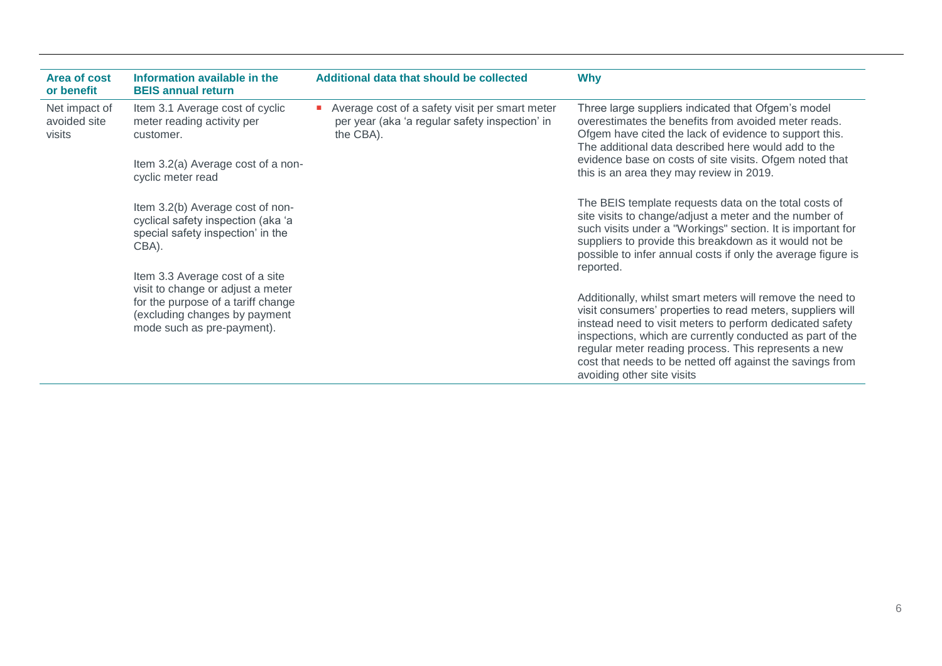| Area of cost<br>or benefit              | Information available in the<br><b>BEIS annual return</b>                                                                                                                 | Additional data that should be collected                                                                      | <b>Why</b>                                                                                                                                                                                                                                                                                                                                                                                          |
|-----------------------------------------|---------------------------------------------------------------------------------------------------------------------------------------------------------------------------|---------------------------------------------------------------------------------------------------------------|-----------------------------------------------------------------------------------------------------------------------------------------------------------------------------------------------------------------------------------------------------------------------------------------------------------------------------------------------------------------------------------------------------|
| Net impact of<br>avoided site<br>visits | Item 3.1 Average cost of cyclic<br>meter reading activity per<br>customer.                                                                                                | Average cost of a safety visit per smart meter<br>per year (aka 'a regular safety inspection' in<br>the CBA). | Three large suppliers indicated that Ofgem's model<br>overestimates the benefits from avoided meter reads.<br>Ofgem have cited the lack of evidence to support this.<br>The additional data described here would add to the<br>evidence base on costs of site visits. Ofgem noted that<br>this is an area they may review in 2019.                                                                  |
|                                         | Item 3.2(a) Average cost of a non-<br>cyclic meter read                                                                                                                   |                                                                                                               |                                                                                                                                                                                                                                                                                                                                                                                                     |
|                                         | Item 3.2(b) Average cost of non-<br>cyclical safety inspection (aka 'a<br>special safety inspection' in the<br>CBA).                                                      |                                                                                                               | The BEIS template requests data on the total costs of<br>site visits to change/adjust a meter and the number of<br>such visits under a "Workings" section. It is important for<br>suppliers to provide this breakdown as it would not be<br>possible to infer annual costs if only the average figure is<br>reported.                                                                               |
|                                         | Item 3.3 Average cost of a site<br>visit to change or adjust a meter<br>for the purpose of a tariff change<br>(excluding changes by payment<br>mode such as pre-payment). |                                                                                                               | Additionally, whilst smart meters will remove the need to<br>visit consumers' properties to read meters, suppliers will<br>instead need to visit meters to perform dedicated safety<br>inspections, which are currently conducted as part of the<br>regular meter reading process. This represents a new<br>cost that needs to be netted off against the savings from<br>avoiding other site visits |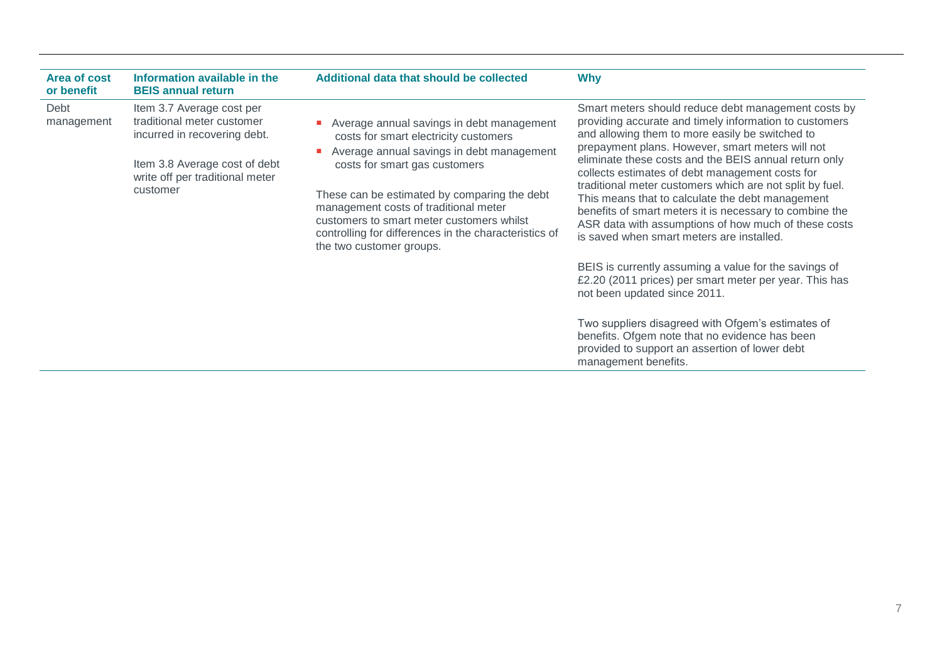| Area of cost<br>or benefit | Information available in the<br><b>BEIS annual return</b>                                                                                                               | Additional data that should be collected                                                                                                                                                                                                                                                                                                                                                    | <b>Why</b>                                                                                                                                                                                                                                                                                                                                                                                                                                                                                                                                                                                                       |
|----------------------------|-------------------------------------------------------------------------------------------------------------------------------------------------------------------------|---------------------------------------------------------------------------------------------------------------------------------------------------------------------------------------------------------------------------------------------------------------------------------------------------------------------------------------------------------------------------------------------|------------------------------------------------------------------------------------------------------------------------------------------------------------------------------------------------------------------------------------------------------------------------------------------------------------------------------------------------------------------------------------------------------------------------------------------------------------------------------------------------------------------------------------------------------------------------------------------------------------------|
| Debt<br>management         | Item 3.7 Average cost per<br>traditional meter customer<br>incurred in recovering debt.<br>Item 3.8 Average cost of debt<br>write off per traditional meter<br>customer | Average annual savings in debt management<br>costs for smart electricity customers<br>Average annual savings in debt management<br>costs for smart gas customers<br>These can be estimated by comparing the debt<br>management costs of traditional meter<br>customers to smart meter customers whilst<br>controlling for differences in the characteristics of<br>the two customer groups. | Smart meters should reduce debt management costs by<br>providing accurate and timely information to customers<br>and allowing them to more easily be switched to<br>prepayment plans. However, smart meters will not<br>eliminate these costs and the BEIS annual return only<br>collects estimates of debt management costs for<br>traditional meter customers which are not split by fuel.<br>This means that to calculate the debt management<br>benefits of smart meters it is necessary to combine the<br>ASR data with assumptions of how much of these costs<br>is saved when smart meters are installed. |
|                            |                                                                                                                                                                         |                                                                                                                                                                                                                                                                                                                                                                                             | BEIS is currently assuming a value for the savings of<br>£2.20 (2011 prices) per smart meter per year. This has<br>not been updated since 2011.<br>Two suppliers disagreed with Ofgem's estimates of                                                                                                                                                                                                                                                                                                                                                                                                             |
|                            |                                                                                                                                                                         |                                                                                                                                                                                                                                                                                                                                                                                             | benefits. Ofgem note that no evidence has been<br>provided to support an assertion of lower debt<br>management benefits.                                                                                                                                                                                                                                                                                                                                                                                                                                                                                         |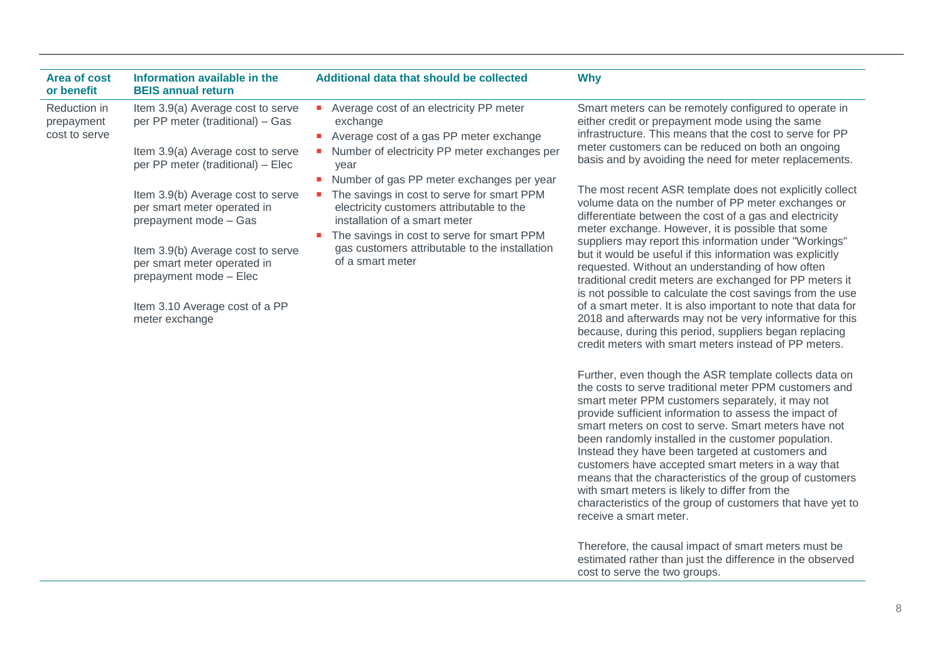| Area of cost<br>or benefit                  | Information available in the<br><b>BEIS annual return</b>                                                                                                                                                                                   | Additional data that should be collected                                                                                                                                                                                                                                                  | <b>Why</b>                                                                                                                                                                                                                                                                                                                                                                                                                                                                                                                                                                                                                                                                                                                                                                         |
|---------------------------------------------|---------------------------------------------------------------------------------------------------------------------------------------------------------------------------------------------------------------------------------------------|-------------------------------------------------------------------------------------------------------------------------------------------------------------------------------------------------------------------------------------------------------------------------------------------|------------------------------------------------------------------------------------------------------------------------------------------------------------------------------------------------------------------------------------------------------------------------------------------------------------------------------------------------------------------------------------------------------------------------------------------------------------------------------------------------------------------------------------------------------------------------------------------------------------------------------------------------------------------------------------------------------------------------------------------------------------------------------------|
| Reduction in<br>prepayment<br>cost to serve | Item 3.9(a) Average cost to serve<br>per PP meter (traditional) - Gas<br>Item 3.9(a) Average cost to serve<br>per PP meter (traditional) - Elec                                                                                             | Average cost of an electricity PP meter<br>exchange<br>Average cost of a gas PP meter exchange<br>Number of electricity PP meter exchanges per<br>year                                                                                                                                    | Smart meters can be remotely configured to operate in<br>either credit or prepayment mode using the same<br>infrastructure. This means that the cost to serve for PP<br>meter customers can be reduced on both an ongoing<br>basis and by avoiding the need for meter replacements.                                                                                                                                                                                                                                                                                                                                                                                                                                                                                                |
|                                             | Item 3.9(b) Average cost to serve<br>per smart meter operated in<br>prepayment mode - Gas<br>Item 3.9(b) Average cost to serve<br>per smart meter operated in<br>prepayment mode - Elec<br>Item 3.10 Average cost of a PP<br>meter exchange | Number of gas PP meter exchanges per year<br>The savings in cost to serve for smart PPM<br>electricity customers attributable to the<br>installation of a smart meter<br>The savings in cost to serve for smart PPM<br>gas customers attributable to the installation<br>of a smart meter | The most recent ASR template does not explicitly collect<br>volume data on the number of PP meter exchanges or<br>differentiate between the cost of a gas and electricity<br>meter exchange. However, it is possible that some<br>suppliers may report this information under "Workings"<br>but it would be useful if this information was explicitly<br>requested. Without an understanding of how often<br>traditional credit meters are exchanged for PP meters it<br>is not possible to calculate the cost savings from the use<br>of a smart meter. It is also important to note that data for<br>2018 and afterwards may not be very informative for this<br>because, during this period, suppliers began replacing<br>credit meters with smart meters instead of PP meters. |

Further, even though the ASR template collects data on the costs to serve traditional meter PPM customers and smart meter PPM customers separately, it may not provide sufficient information to assess the impact of smart meters on cost to serve. Smart meters have not been randomly installed in the customer population. Instead they have been targeted at customers and customers have accepted smart meters in a way that means that the characteristics of the group of customers with smart meters is likely to differ from the characteristics of the group of customers that have yet to receive a smart meter.

Therefore, the causal impact of smart meters must be estimated rather than just the difference in the observed cost to serve the two groups.